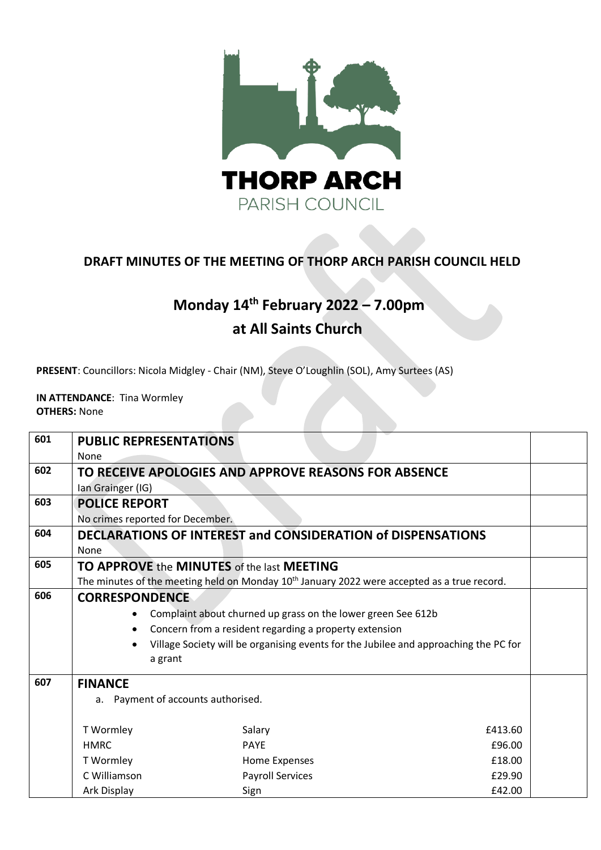

## **DRAFT MINUTES OF THE MEETING OF THORP ARCH PARISH COUNCIL HELD**

## **Monday 14 th February 2022 – 7.00pm at All Saints Church**

**PRESENT**: Councillors: Nicola Midgley - Chair (NM), Steve O'Loughlin (SOL), Amy Surtees (AS)

**IN ATTENDANCE**: Tina Wormley **OTHERS:** None

| 601 | <b>PUBLIC REPRESENTATIONS</b><br>None                        |                                                                                                         |         |  |  |
|-----|--------------------------------------------------------------|---------------------------------------------------------------------------------------------------------|---------|--|--|
| 602 | Ian Grainger (IG)                                            | TO RECEIVE APOLOGIES AND APPROVE REASONS FOR ABSENCE                                                    |         |  |  |
| 603 | <b>POLICE REPORT</b><br>No crimes reported for December.     |                                                                                                         |         |  |  |
| 604 | None                                                         | DECLARATIONS OF INTEREST and CONSIDERATION of DISPENSATIONS                                             |         |  |  |
| 605 | TO APPROVE the MINUTES of the last MEETING                   |                                                                                                         |         |  |  |
|     |                                                              | The minutes of the meeting held on Monday 10 <sup>th</sup> January 2022 were accepted as a true record. |         |  |  |
| 606 | <b>CORRESPONDENCE</b>                                        |                                                                                                         |         |  |  |
|     | Complaint about churned up grass on the lower green See 612b |                                                                                                         |         |  |  |
|     | Concern from a resident regarding a property extension       |                                                                                                         |         |  |  |
|     |                                                              | Village Society will be organising events for the Jubilee and approaching the PC for                    |         |  |  |
|     | a grant                                                      |                                                                                                         |         |  |  |
| 607 | <b>FINANCE</b>                                               |                                                                                                         |         |  |  |
|     | a. Payment of accounts authorised.                           |                                                                                                         |         |  |  |
|     | T Wormley                                                    | Salary                                                                                                  | £413.60 |  |  |
|     | <b>HMRC</b>                                                  | <b>PAYE</b>                                                                                             | £96.00  |  |  |
|     | T Wormley                                                    | Home Expenses                                                                                           | £18.00  |  |  |
|     | C Williamson                                                 | <b>Payroll Services</b>                                                                                 | £29.90  |  |  |
|     | Ark Display                                                  | Sign                                                                                                    | £42.00  |  |  |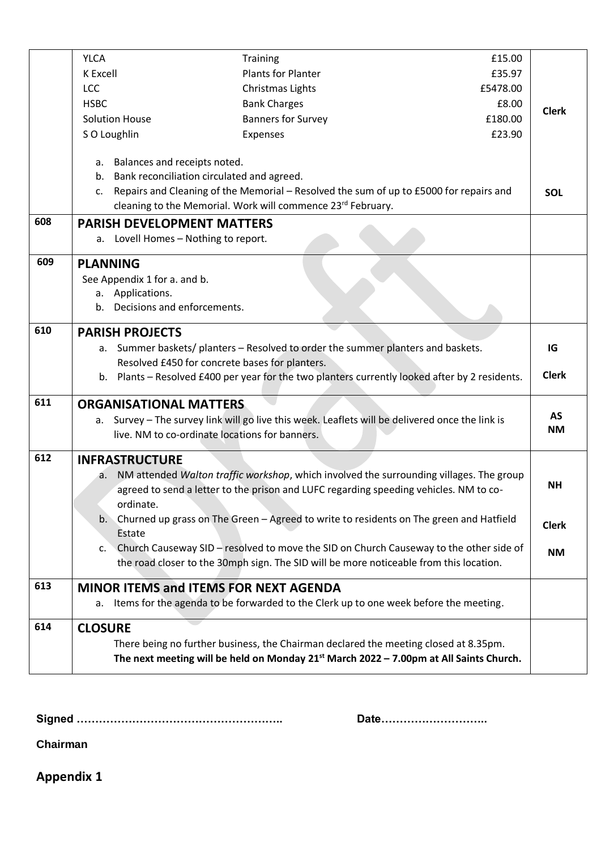|     | <b>YLCA</b>                                                                                                                                                                                        | Training                                                                                       | £15.00   |                        |  |
|-----|----------------------------------------------------------------------------------------------------------------------------------------------------------------------------------------------------|------------------------------------------------------------------------------------------------|----------|------------------------|--|
|     | K Excell                                                                                                                                                                                           | <b>Plants for Planter</b>                                                                      | £35.97   |                        |  |
|     | <b>LCC</b>                                                                                                                                                                                         | Christmas Lights                                                                               | £5478.00 |                        |  |
|     | <b>HSBC</b>                                                                                                                                                                                        | <b>Bank Charges</b>                                                                            | £8.00    | <b>Clerk</b>           |  |
|     | <b>Solution House</b>                                                                                                                                                                              | <b>Banners for Survey</b>                                                                      | £180.00  |                        |  |
|     | S O Loughlin                                                                                                                                                                                       | Expenses                                                                                       | £23.90   |                        |  |
|     |                                                                                                                                                                                                    |                                                                                                |          |                        |  |
|     | a. Balances and receipts noted.                                                                                                                                                                    |                                                                                                |          |                        |  |
|     | b.                                                                                                                                                                                                 | Bank reconciliation circulated and agreed.                                                     |          |                        |  |
|     | Repairs and Cleaning of the Memorial - Resolved the sum of up to £5000 for repairs and<br>c.                                                                                                       |                                                                                                |          | <b>SOL</b>             |  |
|     | cleaning to the Memorial. Work will commence 23rd February.                                                                                                                                        |                                                                                                |          |                        |  |
| 608 | <b>PARISH DEVELOPMENT MATTERS</b>                                                                                                                                                                  |                                                                                                |          |                        |  |
|     | a. Lovell Homes - Nothing to report.                                                                                                                                                               |                                                                                                |          |                        |  |
| 609 | <b>PLANNING</b>                                                                                                                                                                                    |                                                                                                |          |                        |  |
|     | See Appendix 1 for a. and b.                                                                                                                                                                       |                                                                                                |          |                        |  |
|     | a. Applications.                                                                                                                                                                                   |                                                                                                |          |                        |  |
|     | b. Decisions and enforcements.                                                                                                                                                                     |                                                                                                |          |                        |  |
| 610 | <b>PARISH PROJECTS</b>                                                                                                                                                                             |                                                                                                |          |                        |  |
|     |                                                                                                                                                                                                    | a. Summer baskets/ planters - Resolved to order the summer planters and baskets.               |          | IG                     |  |
|     |                                                                                                                                                                                                    | Resolved £450 for concrete bases for planters.                                                 |          |                        |  |
|     |                                                                                                                                                                                                    | b. Plants - Resolved £400 per year for the two planters currently looked after by 2 residents. |          | <b>Clerk</b>           |  |
| 611 | <b>ORGANISATIONAL MATTERS</b>                                                                                                                                                                      |                                                                                                |          |                        |  |
|     | а.                                                                                                                                                                                                 | Survey - The survey link will go live this week. Leaflets will be delivered once the link is   |          | <b>AS</b><br><b>NM</b> |  |
|     | live. NM to co-ordinate locations for banners.                                                                                                                                                     |                                                                                                |          |                        |  |
| 612 | <b>INFRASTRUCTURE</b>                                                                                                                                                                              |                                                                                                |          |                        |  |
|     | NM attended Walton traffic workshop, which involved the surrounding villages. The group<br>а.                                                                                                      |                                                                                                |          |                        |  |
|     | agreed to send a letter to the prison and LUFC regarding speeding vehicles. NM to co-<br>ordinate.<br>Churned up grass on The Green - Agreed to write to residents on The green and Hatfield<br>b. |                                                                                                |          | <b>NH</b>              |  |
|     |                                                                                                                                                                                                    |                                                                                                |          |                        |  |
|     |                                                                                                                                                                                                    |                                                                                                |          | <b>Clerk</b>           |  |
|     | Estate                                                                                                                                                                                             |                                                                                                |          |                        |  |
|     | c.                                                                                                                                                                                                 | Church Causeway SID - resolved to move the SID on Church Causeway to the other side of         |          | <b>NM</b>              |  |
|     |                                                                                                                                                                                                    | the road closer to the 30mph sign. The SID will be more noticeable from this location.         |          |                        |  |
| 613 |                                                                                                                                                                                                    | <b>MINOR ITEMS and ITEMS FOR NEXT AGENDA</b>                                                   |          |                        |  |
|     | а.                                                                                                                                                                                                 | Items for the agenda to be forwarded to the Clerk up to one week before the meeting.           |          |                        |  |
| 614 | <b>CLOSURE</b>                                                                                                                                                                                     |                                                                                                |          |                        |  |
|     |                                                                                                                                                                                                    | There being no further business, the Chairman declared the meeting closed at 8.35pm.           |          |                        |  |
|     |                                                                                                                                                                                                    | The next meeting will be held on Monday $21^{st}$ March 2022 - 7.00pm at All Saints Church.    |          |                        |  |

**Signed ……………………………………………….. Date………………………..**

**Chairman** 

**Appendix 1**